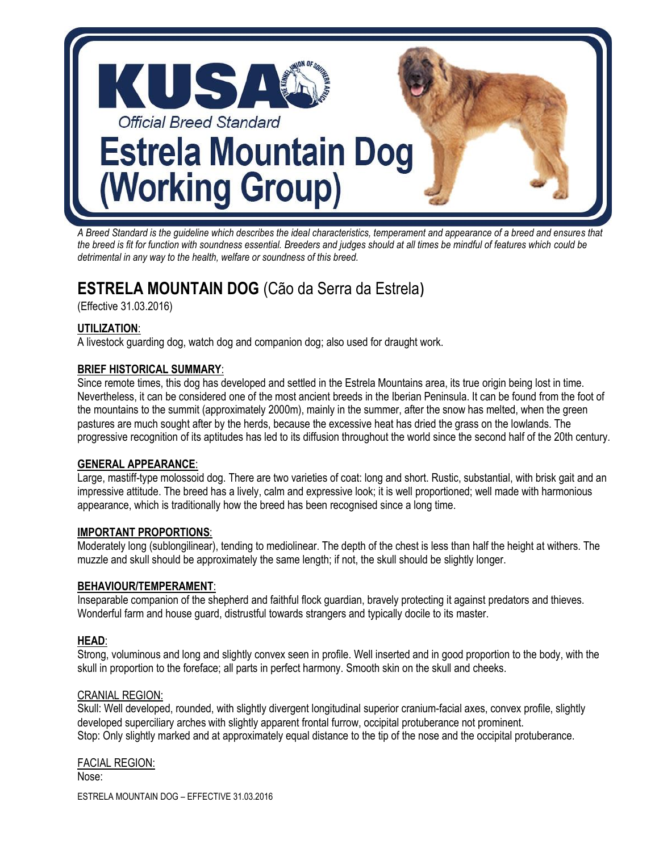

*A Breed Standard is the guideline which describes the ideal characteristics, temperament and appearance of a breed and ensures that the breed is fit for function with soundness essential. Breeders and judges should at all times be mindful of features which could be detrimental in any way to the health, welfare or soundness of this breed.* 

# **ESTRELA MOUNTAIN DOG** (Cão da Serra da Estrela)

(Effective 31.03.2016)

### **UTILIZATION**:

A livestock guarding dog, watch dog and companion dog; also used for draught work.

### **BRIEF HISTORICAL SUMMARY**:

Since remote times, this dog has developed and settled in the Estrela Mountains area, its true origin being lost in time. Nevertheless, it can be considered one of the most ancient breeds in the Iberian Peninsula. It can be found from the foot of the mountains to the summit (approximately 2000m), mainly in the summer, after the snow has melted, when the green pastures are much sought after by the herds, because the excessive heat has dried the grass on the lowlands. The progressive recognition of its aptitudes has led to its diffusion throughout the world since the second half of the 20th century.

### **GENERAL APPEARANCE**:

Large, mastiff-type molossoid dog. There are two varieties of coat: long and short. Rustic, substantial, with brisk gait and an impressive attitude. The breed has a lively, calm and expressive look; it is well proportioned; well made with harmonious appearance, which is traditionally how the breed has been recognised since a long time.

### **IMPORTANT PROPORTIONS**:

Moderately long (sublongilinear), tending to mediolinear. The depth of the chest is less than half the height at withers. The muzzle and skull should be approximately the same length; if not, the skull should be slightly longer.

### **BEHAVIOUR/TEMPERAMENT**:

Inseparable companion of the shepherd and faithful flock guardian, bravely protecting it against predators and thieves. Wonderful farm and house guard, distrustful towards strangers and typically docile to its master.

### **HEAD**:

Strong, voluminous and long and slightly convex seen in profile. Well inserted and in good proportion to the body, with the skull in proportion to the foreface; all parts in perfect harmony. Smooth skin on the skull and cheeks.

### CRANIAL REGION:

Skull: Well developed, rounded, with slightly divergent longitudinal superior cranium-facial axes, convex profile, slightly developed superciliary arches with slightly apparent frontal furrow, occipital protuberance not prominent. Stop: Only slightly marked and at approximately equal distance to the tip of the nose and the occipital protuberance.

ESTRELA MOUNTAIN DOG – EFFECTIVE 31.03.2016 FACIAL REGION: Nose: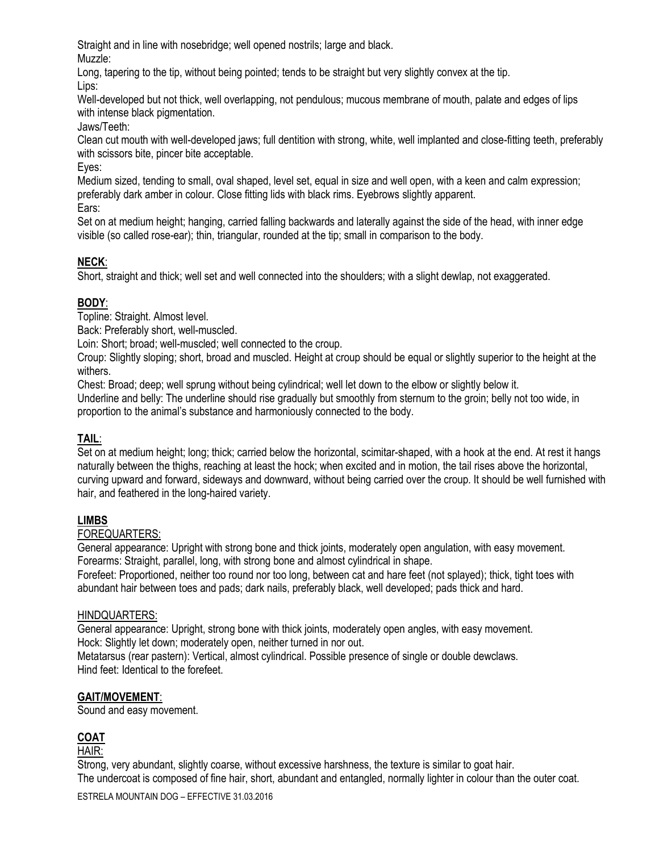Straight and in line with nosebridge; well opened nostrils; large and black.

Muzzle:

Long, tapering to the tip, without being pointed; tends to be straight but very slightly convex at the tip. Lips:

Well-developed but not thick, well overlapping, not pendulous; mucous membrane of mouth, palate and edges of lips with intense black pigmentation.

Jaws/Teeth:

Clean cut mouth with well-developed jaws; full dentition with strong, white, well implanted and close-fitting teeth, preferably with scissors bite, pincer bite acceptable.

Eyes:

Medium sized, tending to small, oval shaped, level set, equal in size and well open, with a keen and calm expression; preferably dark amber in colour. Close fitting lids with black rims. Eyebrows slightly apparent.

Ears:

Set on at medium height; hanging, carried falling backwards and laterally against the side of the head, with inner edge visible (so called rose-ear); thin, triangular, rounded at the tip; small in comparison to the body.

# **NECK**:

Short, straight and thick; well set and well connected into the shoulders; with a slight dewlap, not exaggerated.

# **BODY**:

Topline: Straight. Almost level.

Back: Preferably short, well-muscled.

Loin: Short; broad; well-muscled; well connected to the croup.

Croup: Slightly sloping; short, broad and muscled. Height at croup should be equal or slightly superior to the height at the withers.

Chest: Broad; deep; well sprung without being cylindrical; well let down to the elbow or slightly below it. Underline and belly: The underline should rise gradually but smoothly from sternum to the groin; belly not too wide, in proportion to the animal's substance and harmoniously connected to the body.

# **TAIL**:

Set on at medium height; long; thick; carried below the horizontal, scimitar-shaped, with a hook at the end. At rest it hangs naturally between the thighs, reaching at least the hock; when excited and in motion, the tail rises above the horizontal, curving upward and forward, sideways and downward, without being carried over the croup. It should be well furnished with hair, and feathered in the long-haired variety.

# **LIMBS**

# FOREQUARTERS:

General appearance: Upright with strong bone and thick joints, moderately open angulation, with easy movement. Forearms: Straight, parallel, long, with strong bone and almost cylindrical in shape.

Forefeet: Proportioned, neither too round nor too long, between cat and hare feet (not splayed); thick, tight toes with abundant hair between toes and pads; dark nails, preferably black, well developed; pads thick and hard.

# HINDQUARTERS:

General appearance: Upright, strong bone with thick joints, moderately open angles, with easy movement. Hock: Slightly let down; moderately open, neither turned in nor out.

Metatarsus (rear pastern): Vertical, almost cylindrical. Possible presence of single or double dewclaws. Hind feet: Identical to the forefeet.

# **GAIT/MOVEMENT**:

Sound and easy movement.

# **COAT**

HAIR:

Strong, very abundant, slightly coarse, without excessive harshness, the texture is similar to goat hair. The undercoat is composed of fine hair, short, abundant and entangled, normally lighter in colour than the outer coat.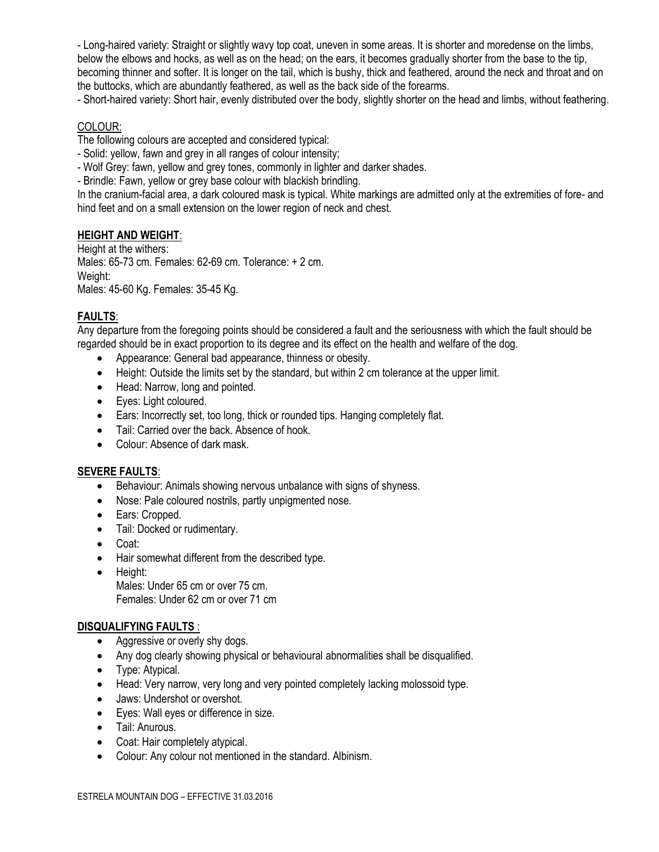- Long-haired variety: Straight or slightly wavy top coat, uneven in some areas. It is shorter and moredense on the limbs, below the elbows and hocks, as well as on the head; on the ears, it becomes gradually shorter from the base to the tip, becoming thinner and softer. It is longer on the tail, which is bushy, thick and feathered, around the neck and throat and on the buttocks, which are abundantly feathered, as well as the back side of the forearms.

- Short-haired variety: Short hair, evenly distributed over the body, slightly shorter on the head and limbs, without feathering.

#### COLOUR:

The following colours are accepted and considered typical:

- Solid: yellow, fawn and grey in all ranges of colour intensity;
- Wolf Grey: fawn, yellow and grey tones, commonly in lighter and darker shades.
- Brindle: Fawn, yellow or grey base colour with blackish brindling.

In the cranium-facial area, a dark coloured mask is typical. White markings are admitted only at the extremities of fore- and hind feet and on a small extension on the lower region of neck and chest.

#### **HEIGHT AND WEIGHT**:

Height at the withers: Males: 65-73 cm. Females: 62-69 cm. Tolerance: + 2 cm. Weight: Males: 45-60 Kg. Females: 35-45 Kg.

#### **FAULTS**:

Any departure from the foregoing points should be considered a fault and the seriousness with which the fault should be regarded should be in exact proportion to its degree and its effect on the health and welfare of the dog.

- Appearance: General bad appearance, thinness or obesity.
- Height: Outside the limits set by the standard, but within 2 cm tolerance at the upper limit.
- Head: Narrow, long and pointed.
- Eyes: Light coloured.
- Ears: Incorrectly set, too long, thick or rounded tips. Hanging completely flat.
- Tail: Carried over the back. Absence of hook.
- Colour: Absence of dark mask.

#### **SEVERE FAULTS**:

- Behaviour: Animals showing nervous unbalance with signs of shyness.
- Nose: Pale coloured nostrils, partly unpigmented nose.
- Ears: Cropped.
- Tail: Docked or rudimentary.
- Coat:
- Hair somewhat different from the described type.
- Height: Males: Under 65 cm or over 75 cm. Females: Under 62 cm or over 71 cm

#### **DISQUALIFYING FAULTS** :

- Aggressive or overly shy dogs.
- Any dog clearly showing physical or behavioural abnormalities shall be disqualified.
- Type: Atypical.
- Head: Very narrow, very long and very pointed completely lacking molossoid type.
- Jaws: Undershot or overshot.
- Eyes: Wall eyes or difference in size.
- Tail: Anurous.
- Coat: Hair completely atypical.
- Colour: Any colour not mentioned in the standard. Albinism.